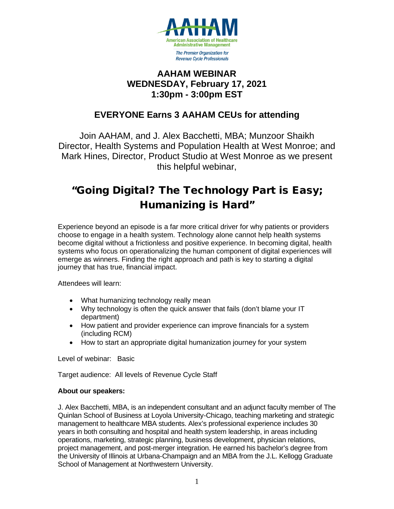

### **AAHAM WEBINAR WEDNESDAY, February 17, 2021 1:30pm - 3:00pm EST**

## **EVERYONE Earns 3 AAHAM CEUs for attending**

Join AAHAM, and J. Alex Bacchetti, MBA; Munzoor Shaikh Director, Health Systems and Population Health at West Monroe; and Mark Hines, Director, Product Studio at West Monroe as we present this helpful webinar,

# "Going Digital? The Technology Part is Easy; Humanizing is Hard"

Experience beyond an episode is a far more critical driver for why patients or providers choose to engage in a health system. Technology alone cannot help health systems become digital without a frictionless and positive experience. In becoming digital, health systems who focus on operationalizing the human component of digital experiences will emerge as winners. Finding the right approach and path is key to starting a digital journey that has true, financial impact.

Attendees will learn:

- What humanizing technology really mean
- Why technology is often the quick answer that fails (don't blame your IT department)
- How patient and provider experience can improve financials for a system (including RCM)
- How to start an appropriate digital humanization journey for your system

Level of webinar: Basic

Target audience: All levels of Revenue Cycle Staff

#### **About our speakers:**

J. Alex Bacchetti, MBA, is an independent consultant and an adjunct faculty member of The Quinlan School of Business at Loyola University-Chicago, teaching marketing and strategic management to healthcare MBA students. Alex's professional experience includes 30 years in both consulting and hospital and health system leadership, in areas including operations, marketing, strategic planning, business development, physician relations, project management, and post-merger integration. He earned his bachelor's degree from the University of Illinois at Urbana-Champaign and an MBA from the J.L. Kellogg Graduate School of Management at Northwestern University.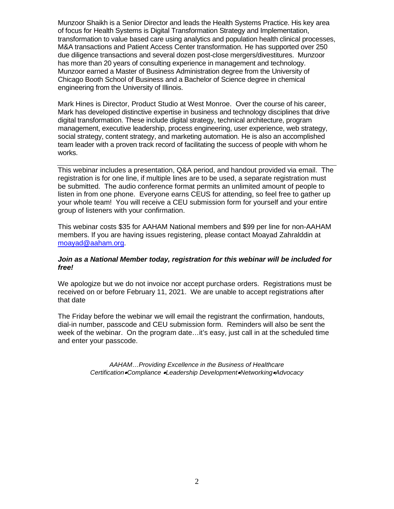Munzoor Shaikh is a Senior Director and leads the Health Systems Practice. His key area of focus for Health Systems is Digital Transformation Strategy and Implementation, transformation to value based care using analytics and population health clinical processes, M&A transactions and Patient Access Center transformation. He has supported over 250 due diligence transactions and several dozen post-close mergers/divestitures. Munzoor has more than 20 years of consulting experience in management and technology. Munzoor earned a Master of Business Administration degree from the University of Chicago Booth School of Business and a Bachelor of Science degree in chemical engineering from the University of Illinois.

Mark Hines is Director, Product Studio at West Monroe. Over the course of his career, Mark has developed distinctive expertise in business and technology disciplines that drive digital transformation. These include digital strategy, technical architecture, program management, executive leadership, process engineering, user experience, web strategy, social strategy, content strategy, and marketing automation. He is also an accomplished team leader with a proven track record of facilitating the success of people with whom he works.

This webinar includes a presentation, Q&A period, and handout provided via email. The registration is for one line, if multiple lines are to be used, a separate registration must be submitted. The audio conference format permits an unlimited amount of people to listen in from one phone. Everyone earns CEUS for attending, so feel free to gather up your whole team! You will receive a CEU submission form for yourself and your entire group of listeners with your confirmation.

This webinar costs \$35 for AAHAM National members and \$99 per line for non-AAHAM members. If you are having issues registering, please contact Moayad Zahralddin at [moayad@aaham.org.](mailto:moayad@aaham.org)

#### *Join as a National Member today, registration for this webinar will be included for free!*

We apologize but we do not invoice nor accept purchase orders. Registrations must be received on or before February 11, 2021. We are unable to accept registrations after that date

The Friday before the webinar we will email the registrant the confirmation, handouts, dial-in number, passcode and CEU submission form. Reminders will also be sent the week of the webinar. On the program date…it's easy, just call in at the scheduled time and enter your passcode.

> *AAHAM…Providing Excellence in the Business of Healthcare Certification*•*Compliance* •*Leadership Development*•*Networking*•*Advocacy*